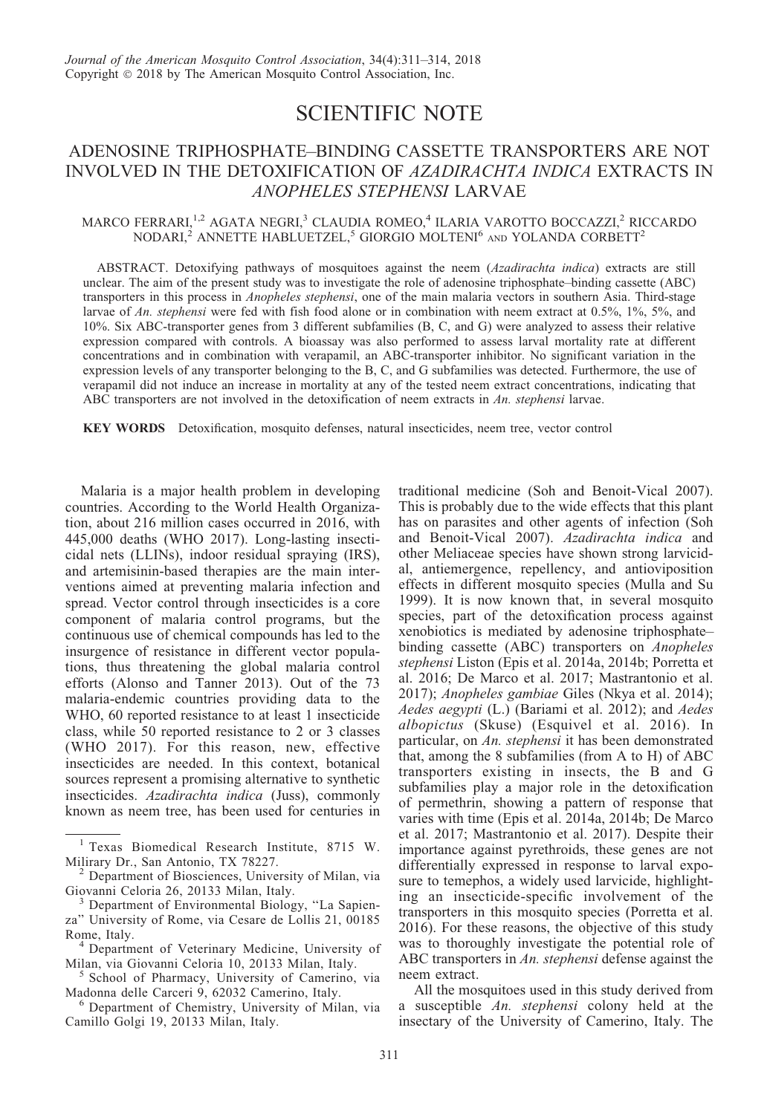## SCIENTIFIC NOTE

## ADENOSINE TRIPHOSPHATE–BINDING CASSETTE TRANSPORTERS ARE NOT INVOLVED IN THE DETOXIFICATION OF AZADIRACHTA INDICA EXTRACTS IN ANOPHELES STEPHENSI LARVAE

## MARCO FERRARI,<sup>1,2</sup> AGATA NEGRI,<sup>3</sup> CLAUDIA ROMEO,<sup>4</sup> ILARIA VAROTTO BOCCAZZI,<sup>2</sup> RICCARDO  $NODARI,^2$ ANNETTE HABLUETZEL,<sup>5</sup> GIORGIO MOLTENI<sup>6</sup> AND YOLANDA CORBETT<sup>2</sup>

ABSTRACT. Detoxifying pathways of mosquitoes against the neem (Azadirachta indica) extracts are still unclear. The aim of the present study was to investigate the role of adenosine triphosphate–binding cassette (ABC) transporters in this process in Anopheles stephensi, one of the main malaria vectors in southern Asia. Third-stage larvae of An. stephensi were fed with fish food alone or in combination with neem extract at 0.5%, 1%, 5%, and 10%. Six ABC-transporter genes from 3 different subfamilies (B, C, and G) were analyzed to assess their relative expression compared with controls. A bioassay was also performed to assess larval mortality rate at different concentrations and in combination with verapamil, an ABC-transporter inhibitor. No significant variation in the expression levels of any transporter belonging to the B, C, and G subfamilies was detected. Furthermore, the use of verapamil did not induce an increase in mortality at any of the tested neem extract concentrations, indicating that ABC transporters are not involved in the detoxification of neem extracts in An. stephensi larvae.

KEY WORDS Detoxification, mosquito defenses, natural insecticides, neem tree, vector control

Malaria is a major health problem in developing countries. According to the World Health Organization, about 216 million cases occurred in 2016, with 445,000 deaths (WHO 2017). Long-lasting insecticidal nets (LLINs), indoor residual spraying (IRS), and artemisinin-based therapies are the main interventions aimed at preventing malaria infection and spread. Vector control through insecticides is a core component of malaria control programs, but the continuous use of chemical compounds has led to the insurgence of resistance in different vector populations, thus threatening the global malaria control efforts (Alonso and Tanner 2013). Out of the 73 malaria-endemic countries providing data to the WHO, 60 reported resistance to at least 1 insecticide class, while 50 reported resistance to 2 or 3 classes (WHO 2017). For this reason, new, effective insecticides are needed. In this context, botanical sources represent a promising alternative to synthetic insecticides. Azadirachta indica (Juss), commonly known as neem tree, has been used for centuries in traditional medicine (Soh and Benoit-Vical 2007). This is probably due to the wide effects that this plant has on parasites and other agents of infection (Soh and Benoit-Vical 2007). Azadirachta indica and other Meliaceae species have shown strong larvicidal, antiemergence, repellency, and antioviposition effects in different mosquito species (Mulla and Su 1999). It is now known that, in several mosquito species, part of the detoxification process against xenobiotics is mediated by adenosine triphosphate– binding cassette (ABC) transporters on Anopheles stephensi Liston (Epis et al. 2014a, 2014b; Porretta et al. 2016; De Marco et al. 2017; Mastrantonio et al. 2017); Anopheles gambiae Giles (Nkya et al. 2014); Aedes aegypti (L.) (Bariami et al. 2012); and Aedes albopictus (Skuse) (Esquivel et al. 2016). In particular, on An. stephensi it has been demonstrated that, among the 8 subfamilies (from A to H) of ABC transporters existing in insects, the B and G subfamilies play a major role in the detoxification of permethrin, showing a pattern of response that varies with time (Epis et al. 2014a, 2014b; De Marco et al. 2017; Mastrantonio et al. 2017). Despite their importance against pyrethroids, these genes are not differentially expressed in response to larval exposure to temephos, a widely used larvicide, highlighting an insecticide-specific involvement of the transporters in this mosquito species (Porretta et al. 2016). For these reasons, the objective of this study was to thoroughly investigate the potential role of ABC transporters in An. stephensi defense against the neem extract.

All the mosquitoes used in this study derived from a susceptible An. stephensi colony held at the insectary of the University of Camerino, Italy. The

<sup>&</sup>lt;sup>1</sup> Texas Biomedical Research Institute, 8715 W.<br>Milirary Dr., San Antonio, TX 78227.

 $\frac{1}{2}$  Department of Biosciences, University of Milan, via Giovanni Celoria 26, 20133 Milan, Italy.

<sup>&</sup>lt;sup>3</sup> Department of Environmental Biology, "La Sapienza'' University of Rome, via Cesare de Lollis 21, 00185

Rome, Italy.<br><sup>4</sup> Department of Veterinary Medicine, University of<br>Milan, via Giovanni Celoria 10, 20133 Milan, Italy.

 $^5$  School of Pharmacy, University of Camerino, via Madonna delle Carceri 9, 62032 Camerino, Italy.

<sup>&</sup>lt;sup>6</sup> Department of Chemistry, University of Milan, via Camillo Golgi 19, 20133 Milan, Italy.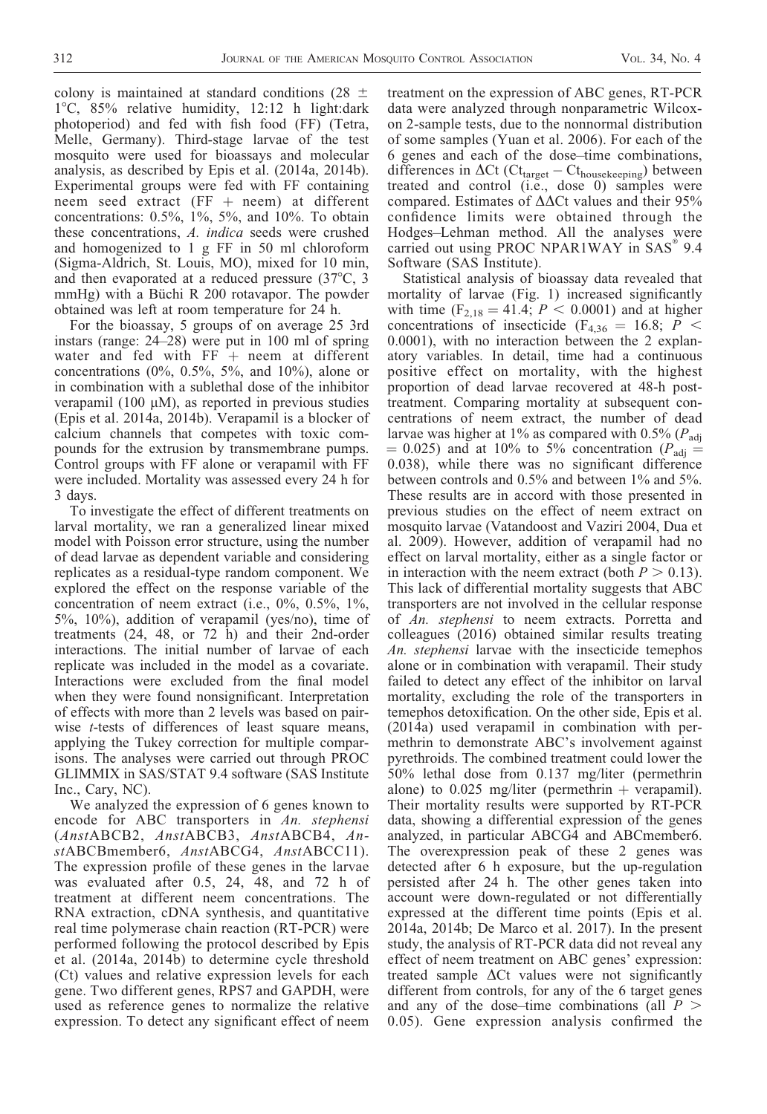colony is maintained at standard conditions (28  $\pm$ 18C, 85% relative humidity, 12:12 h light:dark photoperiod) and fed with fish food (FF) (Tetra, Melle, Germany). Third-stage larvae of the test mosquito were used for bioassays and molecular analysis, as described by Epis et al. (2014a, 2014b). Experimental groups were fed with FF containing neem seed extract (FF  $+$  neem) at different concentrations: 0.5%, 1%, 5%, and 10%. To obtain these concentrations, A. indica seeds were crushed and homogenized to 1 g FF in 50 ml chloroform (Sigma-Aldrich, St. Louis, MO), mixed for 10 min, and then evaporated at a reduced pressure  $(37^{\circ}C, 3)$ mmHg) with a Büchi R 200 rotavapor. The powder obtained was left at room temperature for 24 h.

For the bioassay, 5 groups of on average 25 3rd instars (range: 24–28) were put in 100 ml of spring water and fed with  $FF + neem$  at different concentrations (0%, 0.5%, 5%, and 10%), alone or in combination with a sublethal dose of the inhibitor verapamil (100  $\mu$ M), as reported in previous studies (Epis et al. 2014a, 2014b). Verapamil is a blocker of calcium channels that competes with toxic compounds for the extrusion by transmembrane pumps. Control groups with FF alone or verapamil with FF were included. Mortality was assessed every 24 h for 3 days.

To investigate the effect of different treatments on larval mortality, we ran a generalized linear mixed model with Poisson error structure, using the number of dead larvae as dependent variable and considering replicates as a residual-type random component. We explored the effect on the response variable of the concentration of neem extract (i.e., 0%, 0.5%, 1%, 5%, 10%), addition of verapamil (yes/no), time of treatments (24, 48, or 72 h) and their 2nd-order interactions. The initial number of larvae of each replicate was included in the model as a covariate. Interactions were excluded from the final model when they were found nonsignificant. Interpretation of effects with more than 2 levels was based on pairwise *t*-tests of differences of least square means, applying the Tukey correction for multiple comparisons. The analyses were carried out through PROC GLIMMIX in SAS/STAT 9.4 software (SAS Institute Inc., Cary, NC).

We analyzed the expression of 6 genes known to encode for ABC transporters in An. stephensi (AnstABCB2, AnstABCB3, AnstABCB4, AnstABCBmember6, AnstABCG4, AnstABCC11). The expression profile of these genes in the larvae was evaluated after 0.5, 24, 48, and 72 h of treatment at different neem concentrations. The RNA extraction, cDNA synthesis, and quantitative real time polymerase chain reaction (RT-PCR) were performed following the protocol described by Epis et al. (2014a, 2014b) to determine cycle threshold (Ct) values and relative expression levels for each gene. Two different genes, RPS7 and GAPDH, were used as reference genes to normalize the relative expression. To detect any significant effect of neem

treatment on the expression of ABC genes, RT-PCR data were analyzed through nonparametric Wilcoxon 2-sample tests, due to the nonnormal distribution of some samples (Yuan et al. 2006). For each of the 6 genes and each of the dose–time combinations, differences in  $\Delta$ Ct (Ct<sub>target</sub> – Ct<sub>housekeeping</sub>) between treated and control (i.e., dose 0) samples were compared. Estimates of  $\Delta\Delta$ Ct values and their 95% confidence limits were obtained through the Hodges–Lehman method. All the analyses were carried out using PROC NPAR1WAY in  $SAS^{\circ}$  9.4 Software (SAS Institute).

Statistical analysis of bioassay data revealed that mortality of larvae (Fig. 1) increased significantly with time  $(F_{2,18} = 41.4; P < 0.0001)$  and at higher concentrations of insecticide (F<sub>4,36</sub> = 16.8; P < 0.0001), with no interaction between the 2 explanatory variables. In detail, time had a continuous positive effect on mortality, with the highest proportion of dead larvae recovered at 48-h posttreatment. Comparing mortality at subsequent concentrations of neem extract, the number of dead larvae was higher at 1% as compared with 0.5% ( $P_{\text{adi}}$ )  $= 0.025$ ) and at 10% to 5% concentration ( $P_{\text{adj}} =$ 0.038), while there was no significant difference between controls and 0.5% and between 1% and 5%. These results are in accord with those presented in previous studies on the effect of neem extract on mosquito larvae (Vatandoost and Vaziri 2004, Dua et al. 2009). However, addition of verapamil had no effect on larval mortality, either as a single factor or in interaction with the neem extract (both  $P > 0.13$ ). This lack of differential mortality suggests that ABC transporters are not involved in the cellular response of An. stephensi to neem extracts. Porretta and colleagues (2016) obtained similar results treating An. stephensi larvae with the insecticide temephos alone or in combination with verapamil. Their study failed to detect any effect of the inhibitor on larval mortality, excluding the role of the transporters in temephos detoxification. On the other side, Epis et al. (2014a) used verapamil in combination with permethrin to demonstrate ABC's involvement against pyrethroids. The combined treatment could lower the 50% lethal dose from 0.137 mg/liter (permethrin alone) to  $0.025$  mg/liter (permethrin  $+$  verapamil). Their mortality results were supported by RT-PCR data, showing a differential expression of the genes analyzed, in particular ABCG4 and ABCmember6. The overexpression peak of these 2 genes was detected after 6 h exposure, but the up-regulation persisted after 24 h. The other genes taken into account were down-regulated or not differentially expressed at the different time points (Epis et al. 2014a, 2014b; De Marco et al. 2017). In the present study, the analysis of RT-PCR data did not reveal any effect of neem treatment on ABC genes' expression: treated sample  $\Delta$ Ct values were not significantly different from controls, for any of the 6 target genes and any of the dose–time combinations (all  $P >$ 0.05). Gene expression analysis confirmed the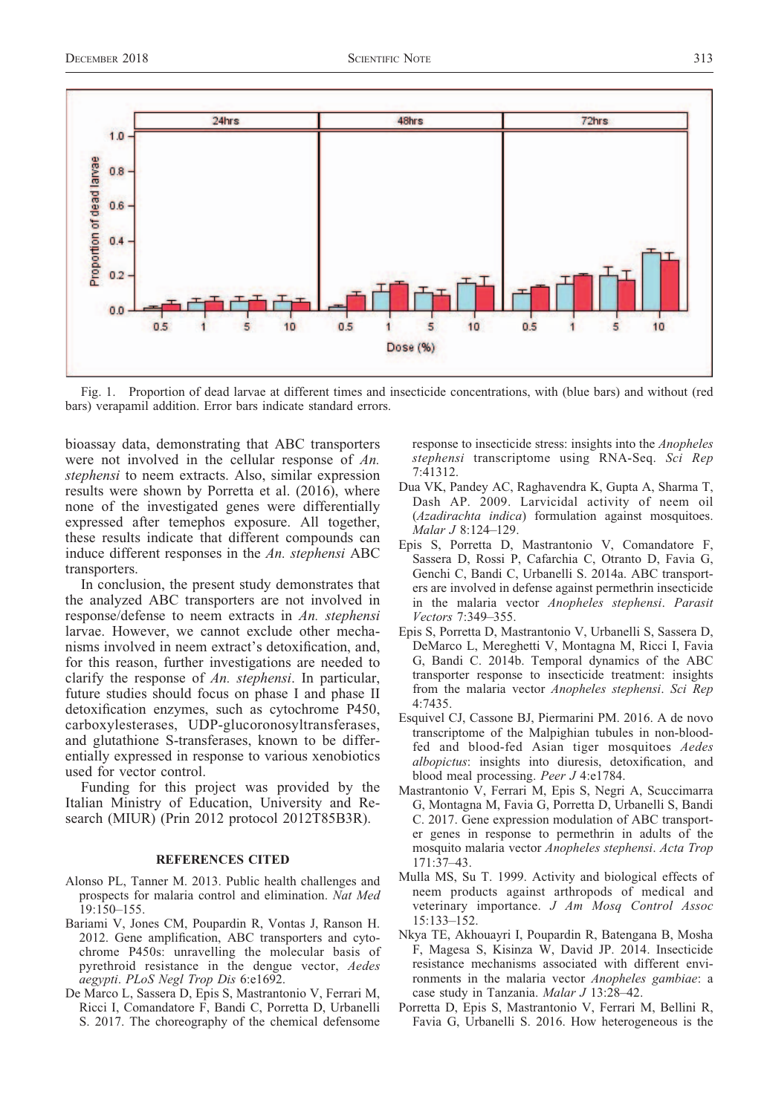

Fig. 1. Proportion of dead larvae at different times and insecticide concentrations, with (blue bars) and without (red bars) verapamil addition. Error bars indicate standard errors.

bioassay data, demonstrating that ABC transporters were not involved in the cellular response of An. stephensi to neem extracts. Also, similar expression results were shown by Porretta et al. (2016), where none of the investigated genes were differentially expressed after temephos exposure. All together, these results indicate that different compounds can induce different responses in the An. stephensi ABC transporters.

In conclusion, the present study demonstrates that the analyzed ABC transporters are not involved in response/defense to neem extracts in An. stephensi larvae. However, we cannot exclude other mechanisms involved in neem extract's detoxification, and, for this reason, further investigations are needed to clarify the response of An. stephensi. In particular, future studies should focus on phase I and phase II detoxification enzymes, such as cytochrome P450, carboxylesterases, UDP-glucoronosyltransferases, and glutathione S-transferases, known to be differentially expressed in response to various xenobiotics used for vector control.

Funding for this project was provided by the Italian Ministry of Education, University and Research (MIUR) (Prin 2012 protocol 2012T85B3R).

## REFERENCES CITED

- Alonso PL, Tanner M. 2013. Public health challenges and prospects for malaria control and elimination. Nat Med 19:150–155.
- Bariami V, Jones CM, Poupardin R, Vontas J, Ranson H. 2012. Gene amplification, ABC transporters and cytochrome P450s: unravelling the molecular basis of pyrethroid resistance in the dengue vector, Aedes aegypti. PLoS Negl Trop Dis 6:e1692.
- De Marco L, Sassera D, Epis S, Mastrantonio V, Ferrari M, Ricci I, Comandatore F, Bandi C, Porretta D, Urbanelli S. 2017. The choreography of the chemical defensome

response to insecticide stress: insights into the Anopheles stephensi transcriptome using RNA-Seq. Sci Rep 7:41312.

- Dua VK, Pandey AC, Raghavendra K, Gupta A, Sharma T, Dash AP. 2009. Larvicidal activity of neem oil (Azadirachta indica) formulation against mosquitoes. Malar J 8:124–129.
- Epis S, Porretta D, Mastrantonio V, Comandatore F, Sassera D, Rossi P, Cafarchia C, Otranto D, Favia G, Genchi C, Bandi C, Urbanelli S. 2014a. ABC transporters are involved in defense against permethrin insecticide in the malaria vector Anopheles stephensi. Parasit Vectors 7:349–355.
- Epis S, Porretta D, Mastrantonio V, Urbanelli S, Sassera D, DeMarco L, Mereghetti V, Montagna M, Ricci I, Favia G, Bandi C. 2014b. Temporal dynamics of the ABC transporter response to insecticide treatment: insights from the malaria vector Anopheles stephensi. Sci Rep 4:7435.
- Esquivel CJ, Cassone BJ, Piermarini PM. 2016. A de novo transcriptome of the Malpighian tubules in non-bloodfed and blood-fed Asian tiger mosquitoes Aedes albopictus: insights into diuresis, detoxification, and blood meal processing. Peer J 4:e1784.
- Mastrantonio V, Ferrari M, Epis S, Negri A, Scuccimarra G, Montagna M, Favia G, Porretta D, Urbanelli S, Bandi C. 2017. Gene expression modulation of ABC transporter genes in response to permethrin in adults of the mosquito malaria vector Anopheles stephensi. Acta Trop 171:37–43.
- Mulla MS, Su T. 1999. Activity and biological effects of neem products against arthropods of medical and veterinary importance. J Am Mosq Control Assoc 15:133–152.
- Nkya TE, Akhouayri I, Poupardin R, Batengana B, Mosha F, Magesa S, Kisinza W, David JP. 2014. Insecticide resistance mechanisms associated with different environments in the malaria vector Anopheles gambiae: a case study in Tanzania. Malar J 13:28–42.
- Porretta D, Epis S, Mastrantonio V, Ferrari M, Bellini R, Favia G, Urbanelli S. 2016. How heterogeneous is the